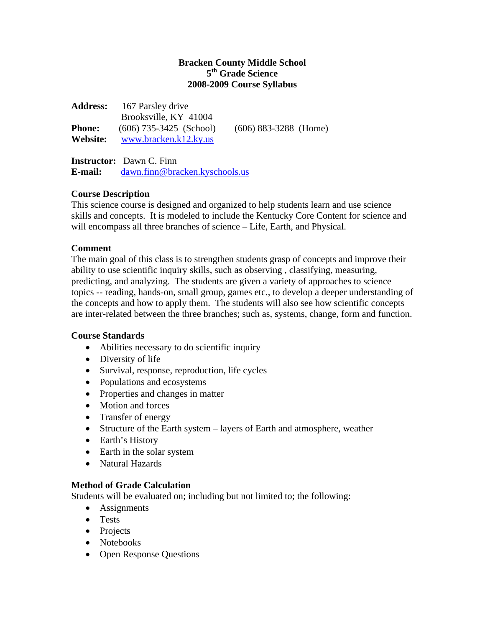#### **Bracken County Middle School 5th Grade Science 2008-2009 Course Syllabus**

| <b>Address:</b> | 167 Parsley drive         |                         |
|-----------------|---------------------------|-------------------------|
|                 | Brooksville, KY 41004     |                         |
| <b>Phone:</b>   | $(606)$ 735-3425 (School) | $(606)$ 883-3288 (Home) |
| Website:        | www.bracken.k12.ky.us     |                         |

**Instructor:** Dawn C. Finn **E-mail:** [dawn.finn@bracken.kyschools.us](mailto:dawn.finn@bracken.kyschools.us)

# **Course Description**

This science course is designed and organized to help students learn and use science skills and concepts. It is modeled to include the Kentucky Core Content for science and will encompass all three branches of science – Life, Earth, and Physical.

# **Comment**

The main goal of this class is to strengthen students grasp of concepts and improve their ability to use scientific inquiry skills, such as observing , classifying, measuring, predicting, and analyzing. The students are given a variety of approaches to science topics -- reading, hands-on, small group, games etc., to develop a deeper understanding of the concepts and how to apply them. The students will also see how scientific concepts are inter-related between the three branches; such as, systems, change, form and function.

# **Course Standards**

- Abilities necessary to do scientific inquiry
- Diversity of life
- Survival, response, reproduction, life cycles
- Populations and ecosystems
- Properties and changes in matter
- Motion and forces
- Transfer of energy
- Structure of the Earth system layers of Earth and atmosphere, weather
- Earth's History
- Earth in the solar system
- Natural Hazards

# **Method of Grade Calculation**

Students will be evaluated on; including but not limited to; the following:

- Assignments
- Tests
- Projects
- Notebooks
- Open Response Questions